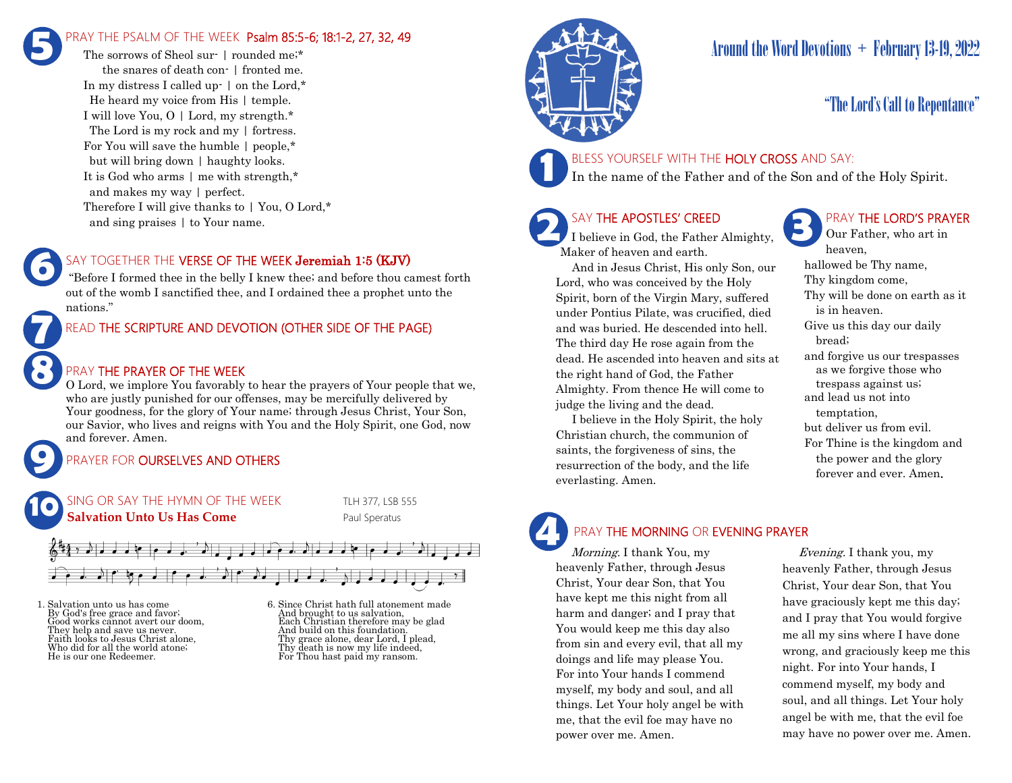## PRAY THE PSALM OF THE WEEK Psalm 85:5-6; 18:1-2, 27, 32, 49 **5**

The sorrows of Sheol sur- I rounded me;\* the snares of death con- | fronted me. In my distress I called up-  $\vert$  on the Lord.\* He heard my voice from His | temple. I will love You, O | Lord, my strength.\* The Lord is my rock and my | fortress. For You will save the humble | people,\* but will bring down | haughty looks. It is God who arms | me with strength,\* and makes my way | perfect. Therefore I will give thanks to | You, O Lord,\* and sing praises | to Your name.

## SAY TOGETHER THE VERSE OF THE WEEK Jeremiah 1:5 (KJV)

"Before I formed thee in the belly I knew thee; and before thou camest forth out of the womb I sanctified thee, and I ordained thee a prophet unto the nations."

## READ THE SCRIPTURE AND DEVOTION (OTHER SIDE OF THE PAGE)

## PRAY THE PRAYER OF THE WEEK

O Lord, we implore You favorably to hear the prayers of Your people that we, who are justly punished for our offenses, may be mercifully delivered by Your goodness, for the glory of Your name; through Jesus Christ, Your Son, our Savior, who lives and reigns with You and the Holy Spirit, one God, now and forever. Amen.

## PRAYER FOR **OURSELVES AND OTHERS**



1. Salvation unto us has come By God's free grace and favor; Good works cannot avert our doom, They help and save us never. Faith looks to Jesus Christ alone, Who did for all the world atone; He is our one Redeemer.

**9**

**8**

**7**

**6**

6. Since Christ hath full atonement made And brought to us salvation, Each Christian therefore may be glad And build on this foundation. Thy grace alone, dear Lord, I plead, Thy death is now my life indeed, For Thou hast paid my ransom.



## Around the Word Devotions  $+$  February 13-19, 2022

## "The Lord's Call to Repentance"

## BLESS YOURSELF WITH THE HOLY CROSS AND SAY:

In the name of the Father and of the Son and of the Holy Spirit.

## SAY THE APOSTLES' CREED

I believe in God, the Father Almighty, Maker of heaven and earth.

 And in Jesus Christ, His only Son, our Lord, who was conceived by the Holy Spirit, born of the Virgin Mary, suffered under Pontius Pilate, was crucified, died and was buried. He descended into hell. The third day He rose again from the dead. He ascended into heaven and sits at the right hand of God, the Father Almighty. From thence He will come to judge the living and the dead.

 I believe in the Holy Spirit, the holy Christian church, the communion of saints, the forgiveness of sins, the resurrection of the body, and the life everlasting. Amen.

## PRAY THE LORD'S PRAYER

Our Father, who art in heaven, hallowed be Thy name, Thy kingdom come, Thy will be done on earth as it is in heaven. Give us this day our daily bread; and forgive us our trespasses as we forgive those who trespass against us; and lead us not into temptation, but deliver us from evil. For Thine is the kingdom and the power and the glory forever and ever. Amen.

# **4**

PRAY THE MORNING OR EVENING PRAYER

Morning. I thank You, my heavenly Father, through Jesus Christ, Your dear Son, that You have kept me this night from all harm and danger; and I pray that You would keep me this day also from sin and every evil, that all my doings and life may please You. For into Your hands I commend myself, my body and soul, and all things. Let Your holy angel be with me, that the evil foe may have no power over me. Amen.

 Evening. I thank you, my heavenly Father, through Jesus Christ, Your dear Son, that You have graciously kept me this day; and I pray that You would forgive me all my sins where I have done wrong, and graciously keep me this night. For into Your hands, I commend myself, my body and soul, and all things. Let Your holy angel be with me, that the evil foe may have no power over me. Amen.